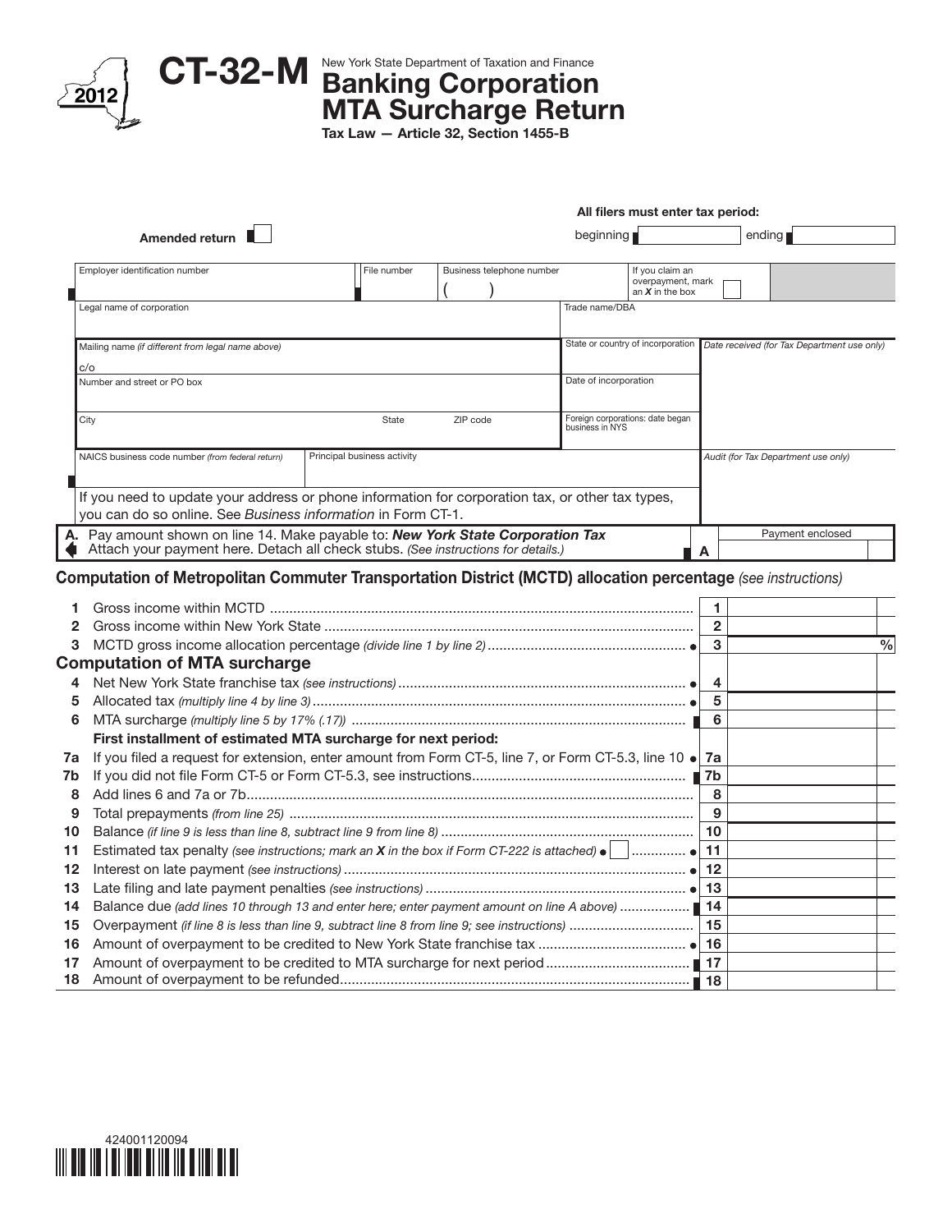

## CT-32-M New York State Department of Taxation and Finance MTA Surcharge Return

Tax Law — Article 32, Section 1455-B

|                        |                                                                                                                                                                  |                             | All filers must enter tax period: |                                                     |                                                           |                        |                                                                               |               |  |  |
|------------------------|------------------------------------------------------------------------------------------------------------------------------------------------------------------|-----------------------------|-----------------------------------|-----------------------------------------------------|-----------------------------------------------------------|------------------------|-------------------------------------------------------------------------------|---------------|--|--|
|                        | Amended return                                                                                                                                                   |                             | beginning                         |                                                     |                                                           |                        | ending                                                                        |               |  |  |
|                        | Employer identification number                                                                                                                                   | File number                 | Business telephone number         |                                                     | If you claim an<br>overpayment, mark<br>an $X$ in the box |                        |                                                                               |               |  |  |
|                        | Legal name of corporation                                                                                                                                        |                             |                                   | Trade name/DBA                                      |                                                           |                        |                                                                               |               |  |  |
|                        | Mailing name (if different from legal name above)                                                                                                                |                             |                                   |                                                     |                                                           |                        | State or country of incorporation Date received (for Tax Department use only) |               |  |  |
|                        | c/o                                                                                                                                                              |                             |                                   |                                                     |                                                           |                        |                                                                               |               |  |  |
|                        | Number and street or PO box                                                                                                                                      |                             |                                   | Date of incorporation                               |                                                           |                        |                                                                               |               |  |  |
|                        | City                                                                                                                                                             | State                       | ZIP code                          | Foreign corporations: date began<br>business in NYS |                                                           |                        |                                                                               |               |  |  |
|                        | NAICS business code number (from federal return)                                                                                                                 | Principal business activity |                                   |                                                     |                                                           |                        | Audit (for Tax Department use only)                                           |               |  |  |
|                        |                                                                                                                                                                  |                             |                                   |                                                     |                                                           |                        |                                                                               |               |  |  |
|                        | If you need to update your address or phone information for corporation tax, or other tax types,<br>you can do so online. See Business information in Form CT-1. |                             |                                   |                                                     |                                                           |                        |                                                                               |               |  |  |
|                        | A. Pay amount shown on line 14. Make payable to: New York State Corporation Tax                                                                                  |                             |                                   |                                                     |                                                           |                        | Payment enclosed                                                              |               |  |  |
|                        | Attach your payment here. Detach all check stubs. (See instructions for details.)                                                                                |                             |                                   |                                                     |                                                           | A                      |                                                                               |               |  |  |
| 1<br>$\mathbf{2}$<br>3 | Computation of Metropolitan Commuter Transportation District (MCTD) allocation percentage (see instructions)                                                     |                             |                                   |                                                     |                                                           | 1<br>$\mathbf{2}$<br>3 |                                                                               | $\frac{0}{0}$ |  |  |
|                        | <b>Computation of MTA surcharge</b>                                                                                                                              |                             |                                   |                                                     |                                                           |                        |                                                                               |               |  |  |
| 4                      |                                                                                                                                                                  |                             |                                   |                                                     |                                                           | 4                      |                                                                               |               |  |  |
| 5                      |                                                                                                                                                                  |                             |                                   |                                                     |                                                           | 5                      |                                                                               |               |  |  |
| 6                      |                                                                                                                                                                  |                             |                                   |                                                     |                                                           | 6                      |                                                                               |               |  |  |
|                        | First installment of estimated MTA surcharge for next period:                                                                                                    |                             |                                   |                                                     |                                                           |                        |                                                                               |               |  |  |
| 7a                     | If you filed a request for extension, enter amount from Form CT-5, line 7, or Form CT-5.3, line 10 . 7a                                                          |                             |                                   |                                                     |                                                           |                        |                                                                               |               |  |  |
| 7b                     |                                                                                                                                                                  |                             |                                   |                                                     |                                                           |                        |                                                                               |               |  |  |
| 8                      |                                                                                                                                                                  |                             |                                   |                                                     |                                                           | 8                      |                                                                               |               |  |  |
| 9                      |                                                                                                                                                                  |                             |                                   |                                                     |                                                           | 9                      |                                                                               |               |  |  |
| 10                     |                                                                                                                                                                  |                             |                                   |                                                     |                                                           | 10                     |                                                                               |               |  |  |
| 11                     | Estimated tax penalty (see instructions; mark an $X$ in the box if Form CT-222 is attached) $\bullet$                                                            |                             |                                   |                                                     | 1. <b>. .</b>                                             | 11                     |                                                                               |               |  |  |
| 12                     |                                                                                                                                                                  |                             |                                   |                                                     |                                                           | 12                     |                                                                               |               |  |  |
| 13                     |                                                                                                                                                                  |                             |                                   |                                                     |                                                           | 13                     |                                                                               |               |  |  |
| 14                     | Balance due (add lines 10 through 13 and enter here; enter payment amount on line A above)                                                                       |                             |                                   |                                                     |                                                           | 14                     |                                                                               |               |  |  |
| 15                     |                                                                                                                                                                  |                             |                                   |                                                     |                                                           | 15                     |                                                                               |               |  |  |
| 16                     |                                                                                                                                                                  |                             |                                   |                                                     |                                                           |                        |                                                                               |               |  |  |
| 17                     |                                                                                                                                                                  |                             |                                   |                                                     |                                                           |                        |                                                                               |               |  |  |
| 18                     |                                                                                                                                                                  |                             |                                   |                                                     |                                                           |                        |                                                                               |               |  |  |